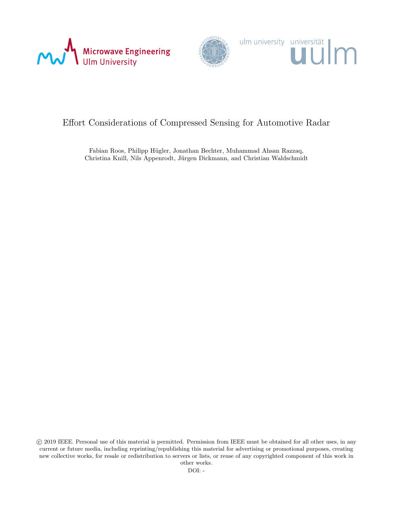





## Effort Considerations of Compressed Sensing for Automotive Radar

Fabian Roos, Philipp Hügler, Jonathan Bechter, Muhammad Ahsan Razzaq, Christina Knill, Nils Appenrodt, Jürgen Dickmann, and Christian Waldschmidt

 c 2019 IEEE. Personal use of this material is permitted. Permission from IEEE must be obtained for all other uses, in any current or future media, including reprinting/republishing this material for advertising or promotional purposes, creating new collective works, for resale or redistribution to servers or lists, or reuse of any copyrighted component of this work in other works.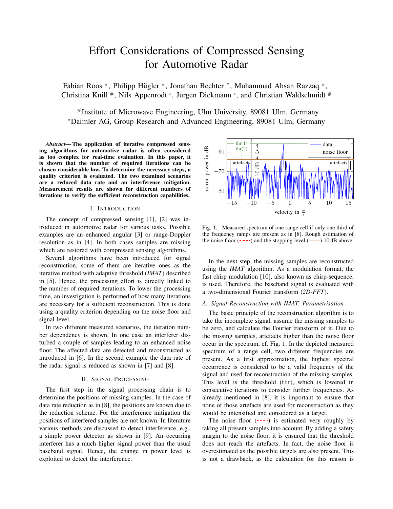# Effort Considerations of Compressed Sensing for Automotive Radar

Fabian Roos #, Philipp Hügler #, Jonathan Bechter #, Muhammad Ahsan Razzaq #, Christina Knill <sup>#</sup>, Nils Appenrodt \*, Jürgen Dickmann \*, and Christian Waldschmidt <sup>#</sup>

#Institute of Microwave Engineering, Ulm University, 89081 Ulm, Germany <sup>∗</sup>Daimler AG, Group Research and Advanced Engineering, 89081 Ulm, Germany

*Abstract*— The application of iterative compressed sensing algorithms for automotive radar is often considered as too complex for real-time evaluation. In this paper, it is shown that the number of required iterations can be chosen considerable low. To determine the necessary steps, a quality criterion is evaluated. The two examined scenarios are a reduced data rate and an interference mitigation. Measurement results are shown for different numbers of iterations to verify the sufficient reconstruction capabilities.

#### I. INTRODUCTION

The concept of compressed sensing [1], [2] was introduced in automotive radar for various tasks. Possible examples are an enhanced angular [3] or range-Doppler resolution as in [4]. In both cases samples are missing which are restored with compressed sensing algorithms.

Several algorithms have been introduced for signal reconstruction, some of them are iterative ones as the iterative method with adaptive threshold (*IMAT*) described in [5]. Hence, the processing effort is directly linked to the number of required iterations. To lower the processing time, an investigation is performed of how many iterations are necessary for a sufficient reconstruction. This is done using a quality criterion depending on the noise floor and signal level.

In two different measured scenarios, the iteration number dependency is shown. In one case an interferer disturbed a couple of samples leading to an enhanced noise floor. The affected data are detected and reconstructed as introduced in [6]. In the second example the data rate of the radar signal is reduced as shown in [7] and [8].

#### II. SIGNAL PROCESSING

The first step in the signal processing chain is to determine the positions of missing samples. In the case of data rate reduction as in [8], the positions are known due to the reduction scheme. For the interference mitigation the positions of interfered samples are not known. In literature various methods are discussed to detect interference, e.g., a simple power detector as shown in [9]. An occurring interferer has a much higher signal power than the usual baseband signal. Hence, the change in power level is exploited to detect the interference.



Fig. 1. Measured spectrum of one range cell if only one third of the frequency ramps are present as in [8]. Rough estimation of the noise floor  $(- - -)$  and the stopping level  $($ — $)$  10 dB above.

In the next step, the missing samples are reconstructed using the *IMAT* algorithm. As a modulation format, the fast chirp modulation [10], also known as chirp-sequence, is used. Therefore, the baseband signal is evaluated with a two-dimensional Fourier transform (*2D-FFT*).

#### *A. Signal Reconstruction with IMAT: Parametrisation*

The basic principle of the reconstruction algorithm is to take the incomplete signal, assume the missing samples to be zero, and calculate the Fourier transform of it. Due to the missing samples, artefacts higher than the noise floor occur in the spectrum, cf. Fig. 1. In the depicted measured spectrum of a range cell, two different frequencies are present. As a first approximation, the highest spectral occurrence is considered to be a valid frequency of the signal and used for reconstruction of the missing samples. This level is the threshold (thr), which is lowered in consecutive iterations to consider further frequencies. As already mentioned in [8], it is important to ensure that none of those artefacts are used for reconstruction as they would be intensified and considered as a target.

The noise floor  $(- - -)$  is estimated very roughly by taking all present samples into account. By adding a safety margin to the noise floor, it is ensured that the threshold does not reach the artefacts. In fact, the noise floor is overestimated as the possible targets are also present. This is not a drawback, as the calculation for this reason is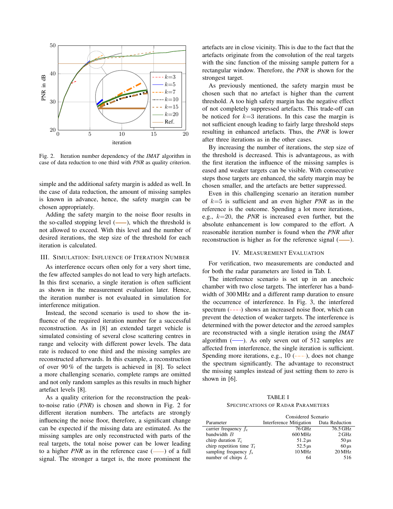

Fig. 2. Iteration number dependency of the *IMAT* algorithm in case of data reduction to one third with *PNR* as quality criterion.

simple and the additional safety margin is added as well. In the case of data reduction, the amount of missing samples is known in advance, hence, the safety margin can be chosen appropriately.

Adding the safety margin to the noise floor results in the so-called stopping level  $(-)$ , which the threshold is not allowed to exceed. With this level and the number of desired iterations, the step size of the threshold for each iteration is calculated.

#### III. SIMULATION: INFLUENCE OF ITERATION NUMBER

As interference occurs often only for a very short time, the few affected samples do not lead to very high artefacts. In this first scenario, a single iteration is often sufficient as shown in the measurement evaluation later. Hence, the iteration number is not evaluated in simulation for interference mitigation.

mstead, the second scenario is used to show the in-<br>fluence of the required iteration number for a successful<br>reconstruction. As in [8] an extended target vehicle is<br>determined with the power detector and the zeroed sample Instead, the second scenario is used to show the influence of the required iteration number for a successful reconstruction. As in [8] an extended target vehicle is simulated consisting of several close scattering centres in range and velocity with different power levels. The data rate is reduced to one third and the missing samples are reconstructed afterwards. In this example, a reconstruction of over 90 % of the targets is achieved in [8]. To select a more challenging scenario, complete ramps are omitted and not only random samples as this results in much higher artefact levels [8].

As a quality criterion for the reconstruction the peakto-noise ratio (*PNR*) is chosen and shown in Fig. 2 for different iteration numbers. The artefacts are strongly influencing the noise floor, therefore, a significant change can be expected if the missing data are estimated. As the missing samples are only reconstructed with parts of the real targets, the total noise power can be lower leading to a higher *PNR* as in the reference case  $(-\)$  of a full signal. The stronger a target is, the more prominent the artefacts are in close vicinity. This is due to the fact that the artefacts originate from the convolution of the real targets with the sinc function of the missing sample pattern for a rectangular window. Therefore, the *PNR* is shown for the strongest target.

As previously mentioned, the safety margin must be chosen such that no artefact is higher than the current threshold. A too high safety margin has the negative effect of not completely suppressed artefacts. This trade-off can be noticed for  $k=3$  iterations. In this case the margin is not sufficient enough leading to fairly large threshold steps resulting in enhanced artefacts. Thus, the *PNR* is lower after three iterations as in the other cases.

By increasing the number of iterations, the step size of the threshold is decreased. This is advantageous, as with the first rectation the influence of the infissing samples is<br>eased and weaker targets can be visible. With consecutive<br>steps those targets are enhanced, the safety margin may be By increasing the number of iterations, the step size of the first iteration the influence of the missing samples is steps those targets are enhanced, the safety margin may be chosen smaller, and the artefacts are better suppressed.

Even in this challenging scenario an iteration number<br>  $k=5$  is sufficient and an even higher *PNR* as in the reference is the outcome. Spending a form of the relations,<br>e.g.,  $k=20$ , the *PNR* is increased even further, but the<br>absolute enhancement is low compared to the effort. A *PNR* after<br>nal  $(\_\_)$ . of  $k=5$  is sufficient and an even higher *PNR* as in the reference is the outcome. Spending a lot more iterations, absolute enhancement is low compared to the effort. A reasonable iteration number is found when the *PNR* after reconstruction is higher as for the reference signal (--).

#### IV. MEASUREMENT EVALUATION

For verification, two measurements are conducted and<br>that the reder commeters are listed in Tab. I for both the radar parameters are listed in Tab. I.

The data algorithm  $(-)$ . As only seven out of 512 samples are affected from interference, the single iteration is sufficient. The interference scenario is set up in an anechoic<br>chamber with two close targets. The interferer has a band-<br>i.i.d. 63000 W. The interference scenario is set up in an anechoic width of 300 MHz and a different ramp duration to ensure the occurrence of interference. In Fig. 3, the interfered spectrum  $(- - )$  shows an increased noise floor, which can determined with the power detector and the zeroed samples are reconstructed with a single iteration using the *IMAT* algorithm  $(-)$ . As only seven out of 512 samples are Spending more iterations, e.g.,  $10$  ( $\leftarrow$ ,), does not change the spectrum significantly. The advantage to reconstruct the missing samples instead of just setting them to zero is shown in [6].

TABLE I SPECIFICATIONS OF RADAR PARAMETERS

|                             | Considered Scenario                    |                       |
|-----------------------------|----------------------------------------|-----------------------|
| Parameter                   | Interference Mitigation Data Reduction |                       |
| carrier frequency $f_c$     | 76 GHz                                 | 76.5 GHz              |
| bandwidth $B$               | 600 MHz                                | $2$ GHz               |
| chirp duration $T_c$        | $51.2 \,\mu s$                         | $50 \,\mu s$          |
| chirp repetition time $T_r$ | $52.5 \,\mu s$                         | $60 \,\mathrm{\mu s}$ |
| sampling frequency $f_s$    | 10 MHz                                 | 20 MHz                |
| number of chirps $L$        | 64                                     | 516                   |